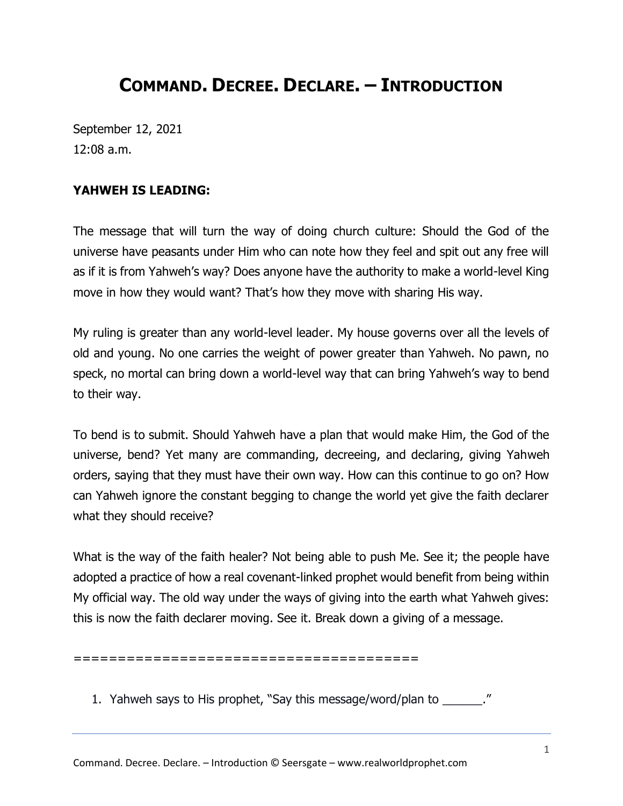# **COMMAND. DECREE. DECLARE. – INTRODUCTION**

September 12, 2021 12:08 a.m.

## **YAHWEH IS LEADING:**

The message that will turn the way of doing church culture: Should the God of the universe have peasants under Him who can note how they feel and spit out any free will as if it is from Yahweh's way? Does anyone have the authority to make a world-level King move in how they would want? That's how they move with sharing His way.

My ruling is greater than any world-level leader. My house governs over all the levels of old and young. No one carries the weight of power greater than Yahweh. No pawn, no speck, no mortal can bring down a world-level way that can bring Yahweh's way to bend to their way.

To bend is to submit. Should Yahweh have a plan that would make Him, the God of the universe, bend? Yet many are commanding, decreeing, and declaring, giving Yahweh orders, saying that they must have their own way. How can this continue to go on? How can Yahweh ignore the constant begging to change the world yet give the faith declarer what they should receive?

What is the way of the faith healer? Not being able to push Me. See it; the people have adopted a practice of how a real covenant-linked prophet would benefit from being within My official way. The old way under the ways of giving into the earth what Yahweh gives: this is now the faith declarer moving. See it. Break down a giving of a message.

=======================================

1. Yahweh says to His prophet, "Say this message/word/plan to \_\_\_\_\_\_."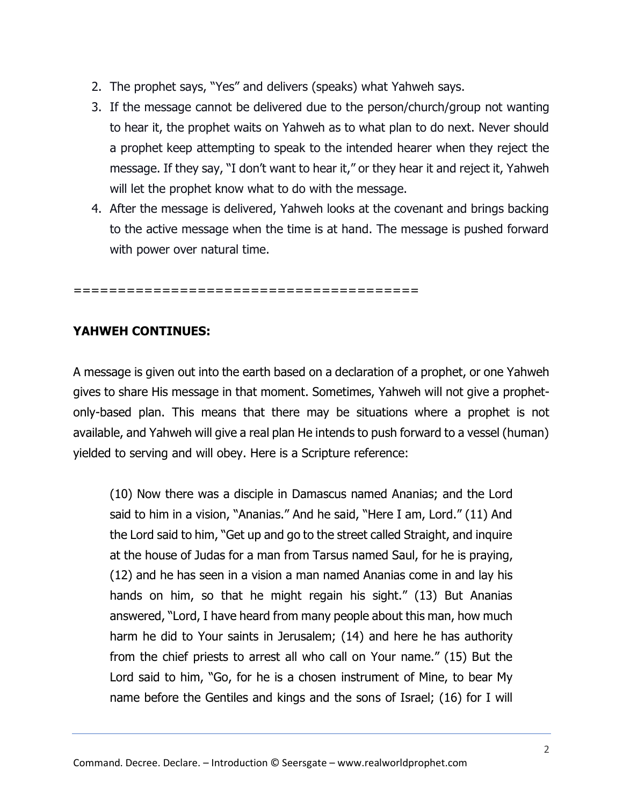- 2. The prophet says, "Yes" and delivers (speaks) what Yahweh says.
- 3. If the message cannot be delivered due to the person/church/group not wanting to hear it, the prophet waits on Yahweh as to what plan to do next. Never should a prophet keep attempting to speak to the intended hearer when they reject the message. If they say, "I don't want to hear it," or they hear it and reject it, Yahweh will let the prophet know what to do with the message.
- 4. After the message is delivered, Yahweh looks at the covenant and brings backing to the active message when the time is at hand. The message is pushed forward with power over natural time.

=======================================

## **YAHWEH CONTINUES:**

A message is given out into the earth based on a declaration of a prophet, or one Yahweh gives to share His message in that moment. Sometimes, Yahweh will not give a prophetonly-based plan. This means that there may be situations where a prophet is not available, and Yahweh will give a real plan He intends to push forward to a vessel (human) yielded to serving and will obey. Here is a Scripture reference:

(10) Now there was a disciple in Damascus named Ananias; and the Lord said to him in a vision, "Ananias." And he said, "Here I am, Lord." (11) And the Lord said to him, "Get up and go to the street called Straight, and inquire at the house of Judas for a man from Tarsus named Saul, for he is praying, (12) and he has seen in a vision a man named Ananias come in and lay his hands on him, so that he might regain his sight." (13) But Ananias answered, "Lord, I have heard from many people about this man, how much harm he did to Your saints in Jerusalem; (14) and here he has authority from the chief priests to arrest all who call on Your name." (15) But the Lord said to him, "Go, for he is a chosen instrument of Mine, to bear My name before the Gentiles and kings and the sons of Israel; (16) for I will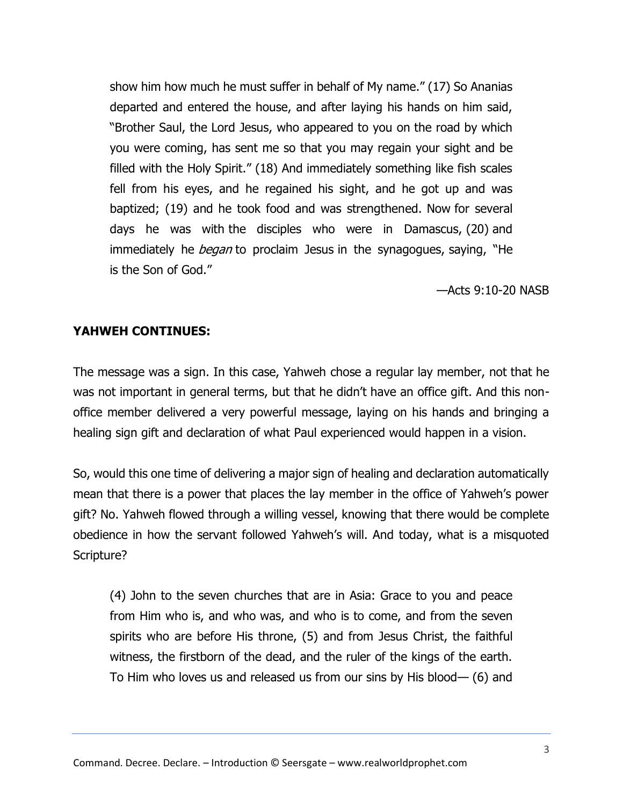show him how much he must suffer in behalf of My name." (17) So Ananias departed and entered the house, and after laying his hands on him said, "Brother Saul, the Lord Jesus, who appeared to you on the road by which you were coming, has sent me so that you may regain your sight and be filled with the Holy Spirit." (18) And immediately something like fish scales fell from his eyes, and he regained his sight, and he got up and was baptized; (19) and he took food and was strengthened. Now for several days he was with the disciples who were in Damascus, (20) and immediately he *began* to proclaim Jesus in the synagogues, saying, "He is the Son of God."

—Acts 9:10-20 NASB

## **YAHWEH CONTINUES:**

The message was a sign. In this case, Yahweh chose a regular lay member, not that he was not important in general terms, but that he didn't have an office gift. And this nonoffice member delivered a very powerful message, laying on his hands and bringing a healing sign gift and declaration of what Paul experienced would happen in a vision.

So, would this one time of delivering a major sign of healing and declaration automatically mean that there is a power that places the lay member in the office of Yahweh's power gift? No. Yahweh flowed through a willing vessel, knowing that there would be complete obedience in how the servant followed Yahweh's will. And today, what is a misquoted Scripture?

(4) John to the seven churches that are in Asia: Grace to you and peace from Him who is, and who was, and who is to come, and from the seven spirits who are before His throne, (5) and from Jesus Christ, the faithful witness, the firstborn of the dead, and the ruler of the kings of the earth. To Him who loves us and released us from our sins by His blood— (6) and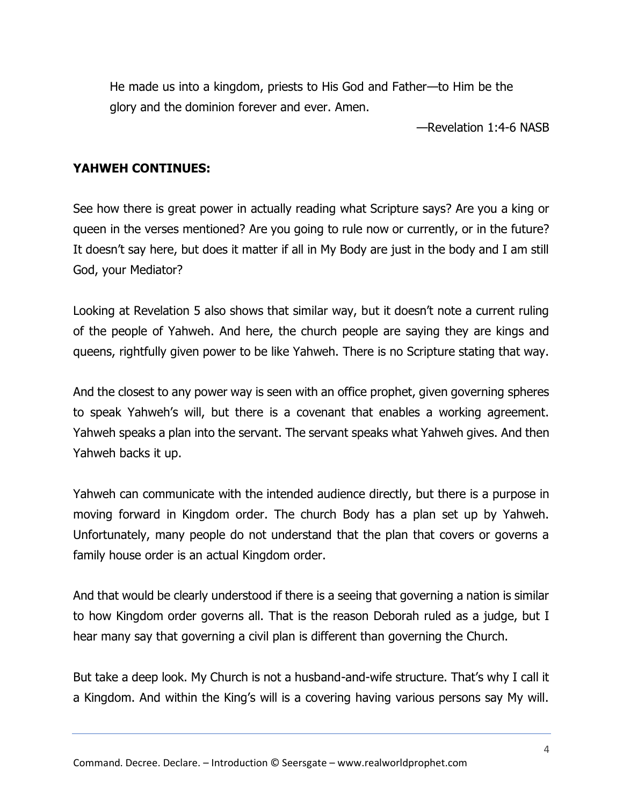He made us into a kingdom, priests to His God and Father—to Him be the glory and the dominion forever and ever. Amen.

—Revelation 1:4-6 NASB

#### **YAHWEH CONTINUES:**

See how there is great power in actually reading what Scripture says? Are you a king or queen in the verses mentioned? Are you going to rule now or currently, or in the future? It doesn't say here, but does it matter if all in My Body are just in the body and I am still God, your Mediator?

Looking at Revelation 5 also shows that similar way, but it doesn't note a current ruling of the people of Yahweh. And here, the church people are saying they are kings and queens, rightfully given power to be like Yahweh. There is no Scripture stating that way.

And the closest to any power way is seen with an office prophet, given governing spheres to speak Yahweh's will, but there is a covenant that enables a working agreement. Yahweh speaks a plan into the servant. The servant speaks what Yahweh gives. And then Yahweh backs it up.

Yahweh can communicate with the intended audience directly, but there is a purpose in moving forward in Kingdom order. The church Body has a plan set up by Yahweh. Unfortunately, many people do not understand that the plan that covers or governs a family house order is an actual Kingdom order.

And that would be clearly understood if there is a seeing that governing a nation is similar to how Kingdom order governs all. That is the reason Deborah ruled as a judge, but I hear many say that governing a civil plan is different than governing the Church.

But take a deep look. My Church is not a husband-and-wife structure. That's why I call it a Kingdom. And within the King's will is a covering having various persons say My will.